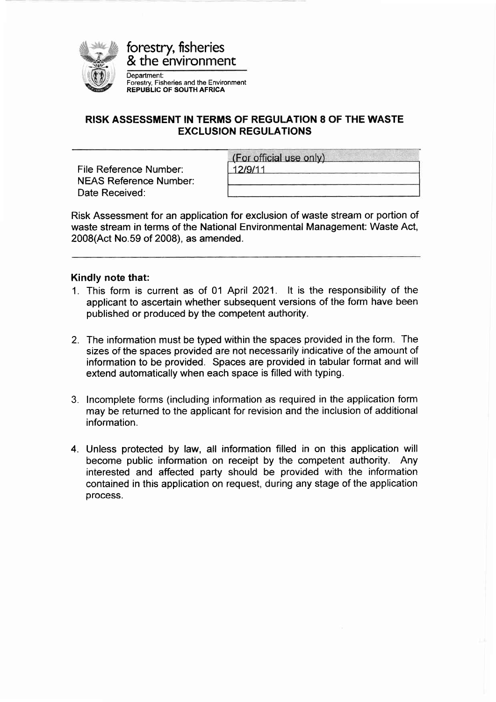

forestry, fisheries & the environment

Department: Forestry, Fisheries and the Environment REPUBLIC OF SOUTH AFRICA

## RISK ASSESSMENT IN TERMS OF REGULATION 8 OF THE WASTE EXCLUSION REGULATIONS

File Reference Number: NEAS Reference Number: Date Received:

| (For official use only) |  |
|-------------------------|--|
| 12/9/11                 |  |

Risk Assessment for an application for exclusion of waste stream or portion of waste stream in terms of the National Environmental Management: Waste Act, 2008(Act No.59 of 2008), as amended.

#### Kindly note that:

- 1. This form is current as of 01 April 2021. lt is the responsibility of the applicant to ascertain whether subsequent versions of the form have been published or produced by the competent authority.
- 2. The information must be typed within the spaces provided in the form. The sizes of the spaces provided are not necessarily indicative of the amount of information to be provided. Spaces are provided in tabular format and will extend automatically when each space is filled with typing.
- 3. lncomplete forms (including information as required in the application form may be returned to the applicant for revision and the inclusion of additional information.
- 4. Unless protected by law, all information filled in on this application will become public information on receipt by the competent authority. Any interested and affected party should be provided with the information contained in this application on request, during any stage of the application process.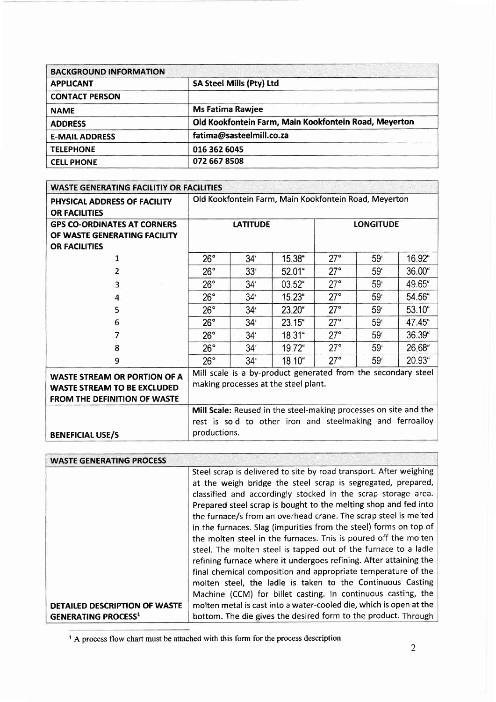| <b>BACKGROUND INFORMATION</b> |                                                       |
|-------------------------------|-------------------------------------------------------|
| <b>APPLICANT</b>              | <b>SA Steel Mills (Pty) Ltd</b>                       |
| <b>CONTACT PERSON</b>         |                                                       |
| <b>NAME</b>                   | <b>Ms Fatima Rawjee</b>                               |
| <b>ADDRESS</b>                | Old Kookfontein Farm, Main Kookfontein Road, Meyerton |
| <b>E-MAIL ADDRESS</b>         | fatima@sasteelmill.co.za                              |
| <b>TELEPHONE</b>              | 016 362 6045                                          |
| <b>CELL PHONE</b>             | 072 667 8508                                          |

| <b>WASTE GENERATING FACILITIY OR FACILITIES</b>                                                                  |                                                                                                                               |                 |           |              |                 |        |
|------------------------------------------------------------------------------------------------------------------|-------------------------------------------------------------------------------------------------------------------------------|-----------------|-----------|--------------|-----------------|--------|
| PHYSICAL ADDRESS OF FACILITY<br><b>OR FACILITIES</b>                                                             | Old Kookfontein Farm, Main Kookfontein Road, Meyerton                                                                         |                 |           |              |                 |        |
| <b>GPS CO-ORDINATES AT CORNERS</b><br>OF WASTE GENERATING FACILITY<br><b>OR FACILITIES</b>                       | <b>LATITUDE</b><br><b>LONGITUDE</b>                                                                                           |                 |           |              |                 |        |
| 1                                                                                                                | 26°                                                                                                                           | 34 <sup>′</sup> | 15.38     | $27^\circ$   | 59 <sup>′</sup> | 16.92" |
| 2                                                                                                                | $26^\circ$                                                                                                                    | $33^{\circ}$    | $52.01$ " | $27^\circ$   | 59 <sup>'</sup> | 36.00" |
| 3                                                                                                                | $26^{\circ}$                                                                                                                  | 34 <sup>′</sup> | 03.52"    | 27°          | 59 <sup>′</sup> | 49.65" |
| 4                                                                                                                | 26°                                                                                                                           | $34^{\circ}$    | 15.23"    | $27^\circ$   | 59 <sup>°</sup> | 54.56" |
| 5                                                                                                                | $26^{\circ}$                                                                                                                  | 34'             | 23.20"    | $27^\circ$   | 59 <sup>′</sup> | 53.10" |
| 6                                                                                                                | 26°                                                                                                                           | 34'             | 23.15"    | 27°          | 59'             | 47.45" |
| 7                                                                                                                | 26°                                                                                                                           | 34 <sup>′</sup> | 18.31"    | $27^\circ$   | 59 <sup>°</sup> | 36.39" |
| 8                                                                                                                | 26°                                                                                                                           | 34 <sup>′</sup> | 19.72"    | $27^{\circ}$ | 59 <sup>°</sup> | 26.68" |
| 9                                                                                                                | $26^\circ$                                                                                                                    | $34^{1}$        | 18.10"    | $27^\circ$   | 59 <sup>°</sup> | 20.93" |
| <b>WASTE STREAM OR PORTION OF A</b><br><b>WASTE STREAM TO BE EXCLUDED</b><br><b>FROM THE DEFINITION OF WASTE</b> | Mill scale is a by-product generated from the secondary steel<br>making processes at the steel plant.                         |                 |           |              |                 |        |
|                                                                                                                  | Mill Scale: Reused in the steel-making processes on site and the<br>rest is sold to other iron and steelmaking and ferroalloy |                 |           |              |                 |        |
| <b>BENEFICIAL USE/S</b>                                                                                          | productions.                                                                                                                  |                 |           |              |                 |        |

| <b>WASTE GENERATING PROCESS</b>      |                                                                    |
|--------------------------------------|--------------------------------------------------------------------|
|                                      | Steel scrap is delivered to site by road transport. After weighing |
|                                      | at the weigh bridge the steel scrap is segregated, prepared,       |
|                                      | classified and accordingly stocked in the scrap storage area.      |
|                                      | Prepared steel scrap is bought to the melting shop and fed into    |
|                                      | the furnace/s from an overhead crane. The scrap steel is melted    |
|                                      | in the furnaces. Slag (impurities from the steel) forms on top of  |
|                                      | the molten steel in the furnaces. This is poured off the molten    |
|                                      | steel. The molten steel is tapped out of the furnace to a ladle    |
|                                      | refining furnace where it undergoes refining. After attaining the  |
|                                      | final chemical composition and appropriate temperature of the      |
|                                      | molten steel, the ladle is taken to the Continuous Casting         |
|                                      | Machine (CCM) for billet casting. In continuous casting, the       |
| <b>DETAILED DESCRIPTION OF WASTE</b> | molten metal is cast into a water-cooled die, which is open at the |
| <b>GENERATING PROCESS1</b>           | bottom. The die gives the desired form to the product. Through     |

<sup>&</sup>lt;sup>1</sup> A process flow chart must be attached with this form for the process description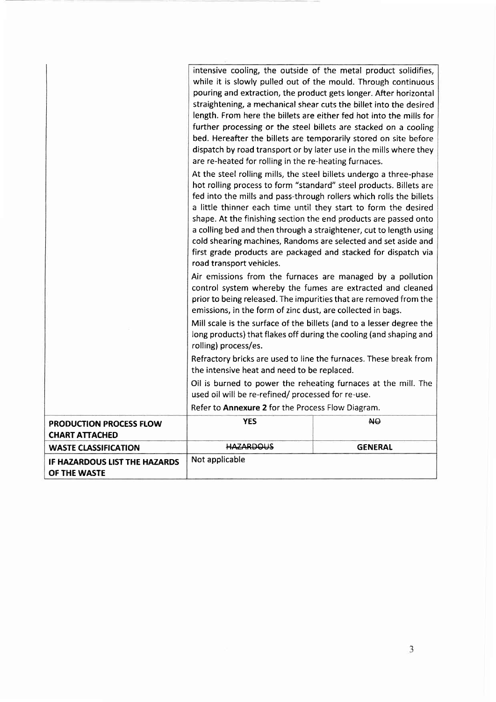|                                                      | intensive cooling, the outside of the metal product solidifies,                                                                         |                |
|------------------------------------------------------|-----------------------------------------------------------------------------------------------------------------------------------------|----------------|
|                                                      | while it is slowly pulled out of the mould. Through continuous                                                                          |                |
|                                                      | pouring and extraction, the product gets longer. After horizontal                                                                       |                |
|                                                      | straightening, a mechanical shear cuts the billet into the desired                                                                      |                |
|                                                      | length. From here the billets are either fed hot into the mills for<br>further processing or the steel billets are stacked on a cooling |                |
|                                                      | bed. Hereafter the billets are temporarily stored on site before                                                                        |                |
|                                                      | dispatch by road transport or by later use in the mills where they                                                                      |                |
|                                                      | are re-heated for rolling in the re-heating furnaces.                                                                                   |                |
|                                                      | At the steel rolling mills, the steel billets undergo a three-phase                                                                     |                |
|                                                      | hot rolling process to form "standard" steel products. Billets are                                                                      |                |
|                                                      | fed into the mills and pass-through rollers which rolls the billets                                                                     |                |
|                                                      | a little thinner each time until they start to form the desired                                                                         |                |
|                                                      | shape. At the finishing section the end products are passed onto                                                                        |                |
|                                                      | a colling bed and then through a straightener, cut to length using                                                                      |                |
|                                                      | cold shearing machines, Randoms are selected and set aside and                                                                          |                |
|                                                      | first grade products are packaged and stacked for dispatch via                                                                          |                |
|                                                      | road transport vehicles.                                                                                                                |                |
|                                                      | Air emissions from the furnaces are managed by a pollution                                                                              |                |
|                                                      | control system whereby the fumes are extracted and cleaned                                                                              |                |
|                                                      | prior to being released. The impurities that are removed from the                                                                       |                |
|                                                      | emissions, in the form of zinc dust, are collected in bags.                                                                             |                |
|                                                      | Mill scale is the surface of the billets (and to a lesser degree the                                                                    |                |
|                                                      | long products) that flakes off during the cooling (and shaping and                                                                      |                |
|                                                      | rolling) process/es.                                                                                                                    |                |
|                                                      | Refractory bricks are used to line the furnaces. These break from                                                                       |                |
|                                                      | the intensive heat and need to be replaced.                                                                                             |                |
|                                                      | Oil is burned to power the reheating furnaces at the mill. The                                                                          |                |
|                                                      | used oil will be re-refined/ processed for re-use.                                                                                      |                |
|                                                      | Refer to Annexure 2 for the Process Flow Diagram.                                                                                       |                |
| PRODUCTION PROCESS FLOW                              | <b>YES</b>                                                                                                                              | HO             |
| <b>CHART ATTACHED</b>                                |                                                                                                                                         |                |
| <b>WASTE CLASSIFICATION</b>                          | <b>HAZARDOUS</b>                                                                                                                        | <b>GENERAL</b> |
| <b>IF HAZARDOUS LIST THE HAZARDS</b><br>OF THE WASTE | Not applicable                                                                                                                          |                |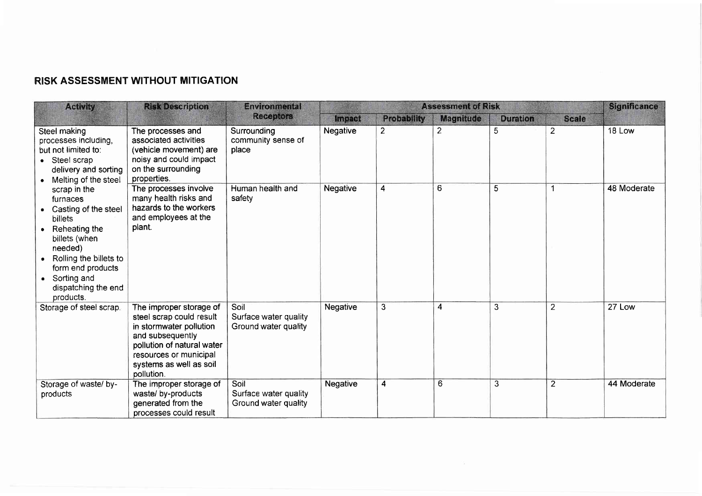# RISK ASSESSMENT WITHOUT MITIGATION

| <b>Activity</b>                                                                                                                                                                                                                                                                                                                                                                                                                                                                                                                                                     | <b>Risk Description</b>                                                                                                                                                                             | <b>Environmental</b>                                  | <b>Assessment of Risk</b> |                  |                 |              | <b>Significance</b> |             |
|---------------------------------------------------------------------------------------------------------------------------------------------------------------------------------------------------------------------------------------------------------------------------------------------------------------------------------------------------------------------------------------------------------------------------------------------------------------------------------------------------------------------------------------------------------------------|-----------------------------------------------------------------------------------------------------------------------------------------------------------------------------------------------------|-------------------------------------------------------|---------------------------|------------------|-----------------|--------------|---------------------|-------------|
|                                                                                                                                                                                                                                                                                                                                                                                                                                                                                                                                                                     | <b>Receptors</b>                                                                                                                                                                                    | <b>Impact</b>                                         | <b>Probability</b>        | <b>Magnitude</b> | <b>Duration</b> | <b>Scale</b> |                     |             |
| Steel making<br>The processes and<br>associated activities<br>processes including,<br>but not limited to:<br>noisy and could impact<br>Steel scrap<br>on the surrounding<br>delivery and sorting<br>properties.<br>Melting of the steel<br>The processes involve<br>scrap in the<br>many health risks and<br>furnaces<br>hazards to the workers<br>Casting of the steel<br>and employees at the<br>billets<br>plant.<br>Reheating the<br>billets (when<br>needed)<br>Rolling the billets to<br>form end products<br>Sorting and<br>dispatching the end<br>products. | (vehicle movement) are                                                                                                                                                                              | Surrounding<br>community sense of<br>place            | Negative                  | $\overline{2}$   | $\overline{2}$  | 5            | $\overline{2}$      | 18 Low      |
|                                                                                                                                                                                                                                                                                                                                                                                                                                                                                                                                                                     |                                                                                                                                                                                                     | Human health and<br>safety                            | Negative                  | 4                | 6               | 5            |                     | 48 Moderate |
| Storage of steel scrap.                                                                                                                                                                                                                                                                                                                                                                                                                                                                                                                                             | The improper storage of<br>steel scrap could result<br>in stormwater pollution<br>and subsequently<br>pollution of natural water<br>resources or municipal<br>systems as well as soil<br>pollution. | Soil<br>Surface water quality<br>Ground water quality | Negative                  | 3                | 4               | 3            | 2                   | 27 Low      |
| Storage of waste/ by-<br>products                                                                                                                                                                                                                                                                                                                                                                                                                                                                                                                                   | The improper storage of<br>waste/ by-products<br>generated from the<br>processes could result                                                                                                       | Soil<br>Surface water quality<br>Ground water quality | <b>Negative</b>           | $\overline{4}$   | 6               | 3            | $\overline{2}$      | 44 Moderate |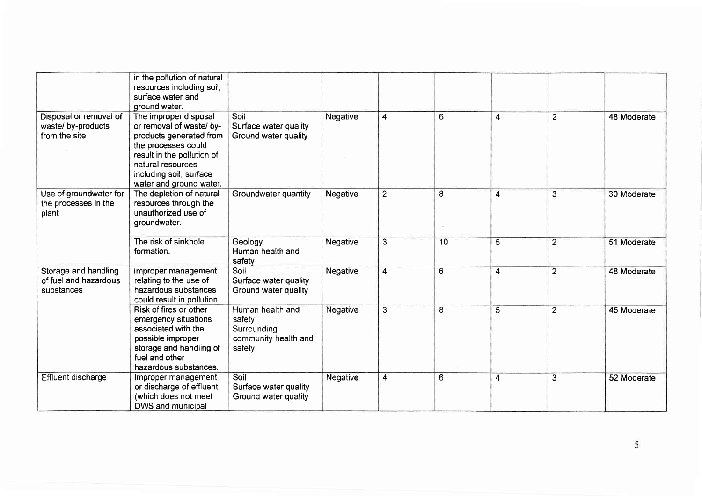|                                                               | in the pollution of natural<br>resources including soil,<br>surface water and<br>ground water.                                                                                                               |                                                                             |          |                |                 |   |                |             |
|---------------------------------------------------------------|--------------------------------------------------------------------------------------------------------------------------------------------------------------------------------------------------------------|-----------------------------------------------------------------------------|----------|----------------|-----------------|---|----------------|-------------|
| Disposal or removal of<br>waste/ by-products<br>from the site | The improper disposal<br>or removal of waste/ by-<br>products generated from<br>the processes could<br>result in the pollution of<br>natural resources<br>including soil, surface<br>water and ground water. | Soil<br>Surface water quality<br>Ground water quality                       | Negative | 4              | $6\overline{6}$ | 4 | $\overline{2}$ | 48 Moderate |
| Use of groundwater for<br>the processes in the<br>plant       | The depletion of natural<br>resources through the<br>unauthorized use of<br>groundwater.                                                                                                                     | Groundwater quantity                                                        | Negative | $\overline{2}$ | 8               | 4 | 3              | 30 Moderate |
|                                                               | The risk of sinkhole<br>formation.                                                                                                                                                                           | Geology<br>Human health and<br>safety                                       | Negative | $\overline{3}$ | 10              | 5 | $\overline{2}$ | 51 Moderate |
| Storage and handling<br>of fuel and hazardous<br>substances   | Improper management<br>relating to the use of<br>hazardous substances<br>could result in pollution.                                                                                                          | Soil<br>Surface water quality<br>Ground water quality                       | Negative | 4              | 6               | 4 | $\overline{2}$ | 48 Moderate |
|                                                               | Risk of fires or other<br>emergency situations<br>associated with the<br>possible improper<br>storage and handling of<br>fuel and other<br>hazardous substances.                                             | Human health and<br>safety<br>Surrounding<br>community health and<br>safety | Negative | $\overline{3}$ | 8               | 5 | $\overline{2}$ | 45 Moderate |
| Effluent discharge                                            | Improper management<br>or discharge of effluent<br>(which does not meet<br>DWS and municipal                                                                                                                 | Soil<br>Surface water quality<br>Ground water quality                       | Negative | $\overline{4}$ | 6               | 4 | 3              | 52 Moderate |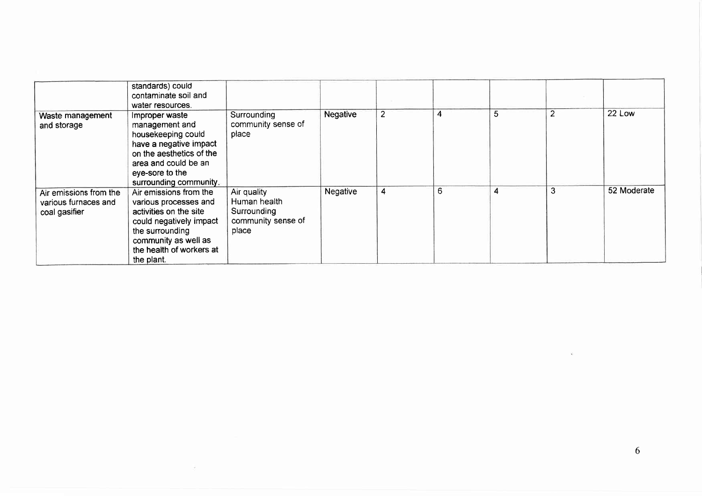|                                                                 | standards) could<br>contaminate soil and<br>water resources.                                                                                                                              |                                                                           |                 |                |   |   |   |             |
|-----------------------------------------------------------------|-------------------------------------------------------------------------------------------------------------------------------------------------------------------------------------------|---------------------------------------------------------------------------|-----------------|----------------|---|---|---|-------------|
| Waste management<br>and storage                                 | Improper waste<br>management and<br>housekeeping could<br>have a negative impact<br>on the aesthetics of the<br>area and could be an<br>eye-sore to the<br>surrounding community.         | Surrounding<br>community sense of<br>place                                | <b>Negative</b> | $\overline{2}$ | 4 | 5 |   | 22 Low      |
| Air emissions from the<br>various furnaces and<br>coal gasifier | Air emissions from the<br>various processes and<br>activities on the site<br>could negatively impact<br>the surrounding<br>community as well as<br>the health of workers at<br>the plant. | Air quality<br>Human health<br>Surrounding<br>community sense of<br>place | Negative        | 4              | 6 |   | 3 | 52 Moderate |

 $\bar{\nu}$ 

 $\langle \hat{u} \rangle$  ,  $\langle \hat{u} \rangle$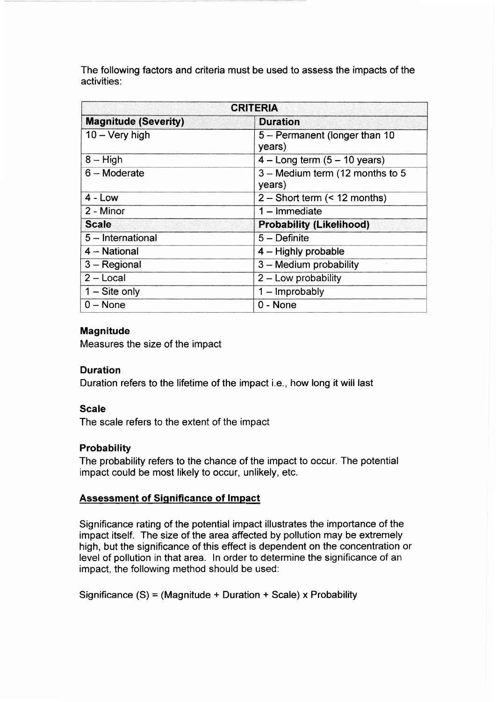The following factors and criteria must be used to assess the impacts of the activities:

| <b>CRITERIA</b>             |                                           |  |  |  |
|-----------------------------|-------------------------------------------|--|--|--|
| <b>Magnitude (Severity)</b> | <b>Duration</b>                           |  |  |  |
| $10 - \text{Very high}$     | 5 - Permanent (longer than 10<br>years)   |  |  |  |
| $8 - High$                  | $4 - Long term (5 - 10 years)$            |  |  |  |
| $6 -$ Moderate              | 3 - Medium term (12 months to 5<br>years) |  |  |  |
| $4 - Low$                   | $2 -$ Short term $($ < 12 months)         |  |  |  |
| 2 - Minor                   | $1 -$ Immediate                           |  |  |  |
| <b>Scale</b>                | <b>Probability (Likelihood)</b>           |  |  |  |
| $5$ – International         | $5 -$ Definite                            |  |  |  |
| 4 - National                | $4 -$ Highly probable                     |  |  |  |
| $3 -$ Regional              | 3 - Medium probability                    |  |  |  |
| $2 - Local$                 | $2 -$ Low probability                     |  |  |  |
| $1 -$ Site only             | $1 -$ Improbably                          |  |  |  |
| $0 - None$                  | 0 - None                                  |  |  |  |

## Magnitude

Measures the size of the impact

### Duration

Duration refers to the lifetime of the impact i.e., how long it will last

### Scale

The scale refers to the extent of the impact

### **Probability**

The probability refers to the chance of the impact to occur. The potential impact could be most likely to occur, unlikely, etc.

### Assessment of Significance of lmpact

Significance rating of the potential impact illustrates the importance of the impact itself. The size of the area affected by pollution may be extremely high, but the significance of this effect is dependent on the concentration or level of pollution in that area. ln order to determine the significance of an impact, the following method should be used:

Significance (S) = (Magnitude + Duration + Scale) x Probability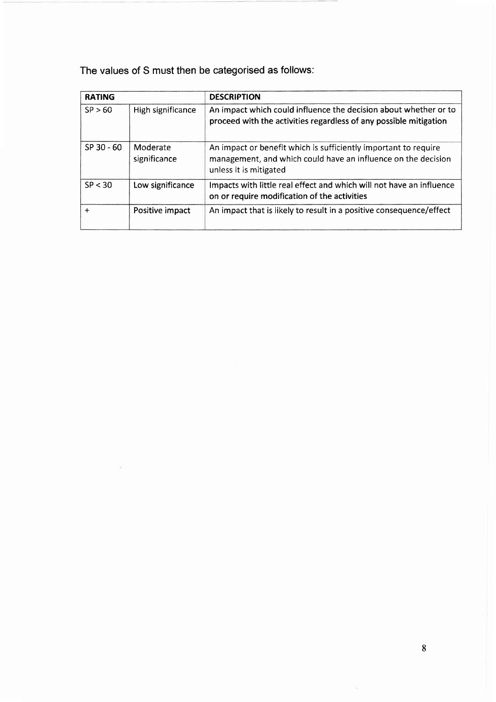The values of S must then be categorised as follows:

| <b>RATING</b> |                          | <b>DESCRIPTION</b>                                                                                                                                         |  |  |  |  |
|---------------|--------------------------|------------------------------------------------------------------------------------------------------------------------------------------------------------|--|--|--|--|
| SP > 60       | High significance        | An impact which could influence the decision about whether or to<br>proceed with the activities regardless of any possible mitigation                      |  |  |  |  |
| $SP$ 30 - 60  | Moderate<br>significance | An impact or benefit which is sufficiently important to require<br>management, and which could have an influence on the decision<br>unless it is mitigated |  |  |  |  |
| SP < 30       | Low significance         | Impacts with little real effect and which will not have an influence<br>on or require modification of the activities                                       |  |  |  |  |
| $\ddot{}$     | Positive impact          | An impact that is likely to result in a positive consequence/effect                                                                                        |  |  |  |  |